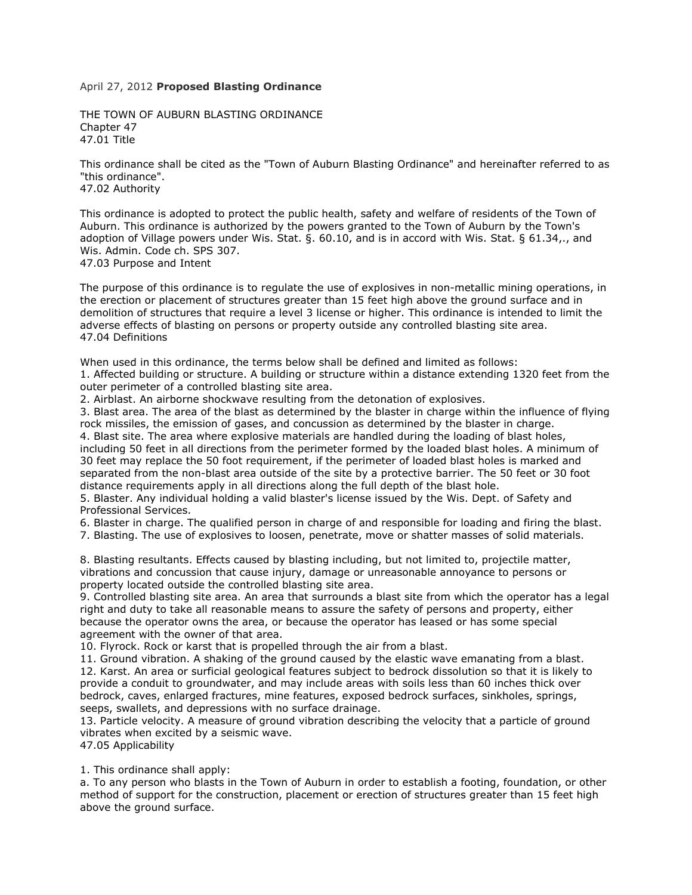## April 27, 2012 **Proposed Blasting Ordinance**

THE TOWN OF AUBURN BLASTING ORDINANCE Chapter 47 47.01 Title

This ordinance shall be cited as the "Town of Auburn Blasting Ordinance" and hereinafter referred to as "this ordinance". 47.02 Authority

This ordinance is adopted to protect the public health, safety and welfare of residents of the Town of Auburn. This ordinance is authorized by the powers granted to the Town of Auburn by the Town's adoption of Village powers under Wis. Stat. §. 60.10, and is in accord with Wis. Stat. § 61.34,., and Wis. Admin. Code ch. SPS 307.

47.03 Purpose and Intent

The purpose of this ordinance is to regulate the use of explosives in non-metallic mining operations, in the erection or placement of structures greater than 15 feet high above the ground surface and in demolition of structures that require a level 3 license or higher. This ordinance is intended to limit the adverse effects of blasting on persons or property outside any controlled blasting site area. 47.04 Definitions

When used in this ordinance, the terms below shall be defined and limited as follows:

1. Affected building or structure. A building or structure within a distance extending 1320 feet from the outer perimeter of a controlled blasting site area.

2. Airblast. An airborne shockwave resulting from the detonation of explosives.

3. Blast area. The area of the blast as determined by the blaster in charge within the influence of flying rock missiles, the emission of gases, and concussion as determined by the blaster in charge.

4. Blast site. The area where explosive materials are handled during the loading of blast holes, including 50 feet in all directions from the perimeter formed by the loaded blast holes. A minimum of 30 feet may replace the 50 foot requirement, if the perimeter of loaded blast holes is marked and separated from the non-blast area outside of the site by a protective barrier. The 50 feet or 30 foot distance requirements apply in all directions along the full depth of the blast hole.

5. Blaster. Any individual holding a valid blaster's license issued by the Wis. Dept. of Safety and Professional Services.

6. Blaster in charge. The qualified person in charge of and responsible for loading and firing the blast. 7. Blasting. The use of explosives to loosen, penetrate, move or shatter masses of solid materials.

8. Blasting resultants. Effects caused by blasting including, but not limited to, projectile matter, vibrations and concussion that cause injury, damage or unreasonable annoyance to persons or property located outside the controlled blasting site area.

9. Controlled blasting site area. An area that surrounds a blast site from which the operator has a legal right and duty to take all reasonable means to assure the safety of persons and property, either because the operator owns the area, or because the operator has leased or has some special agreement with the owner of that area.

10. Flyrock. Rock or karst that is propelled through the air from a blast.

11. Ground vibration. A shaking of the ground caused by the elastic wave emanating from a blast. 12. Karst. An area or surficial geological features subject to bedrock dissolution so that it is likely to provide a conduit to groundwater, and may include areas with soils less than 60 inches thick over bedrock, caves, enlarged fractures, mine features, exposed bedrock surfaces, sinkholes, springs, seeps, swallets, and depressions with no surface drainage.

13. Particle velocity. A measure of ground vibration describing the velocity that a particle of ground vibrates when excited by a seismic wave.

47.05 Applicability

1. This ordinance shall apply:

a. To any person who blasts in the Town of Auburn in order to establish a footing, foundation, or other method of support for the construction, placement or erection of structures greater than 15 feet high above the ground surface.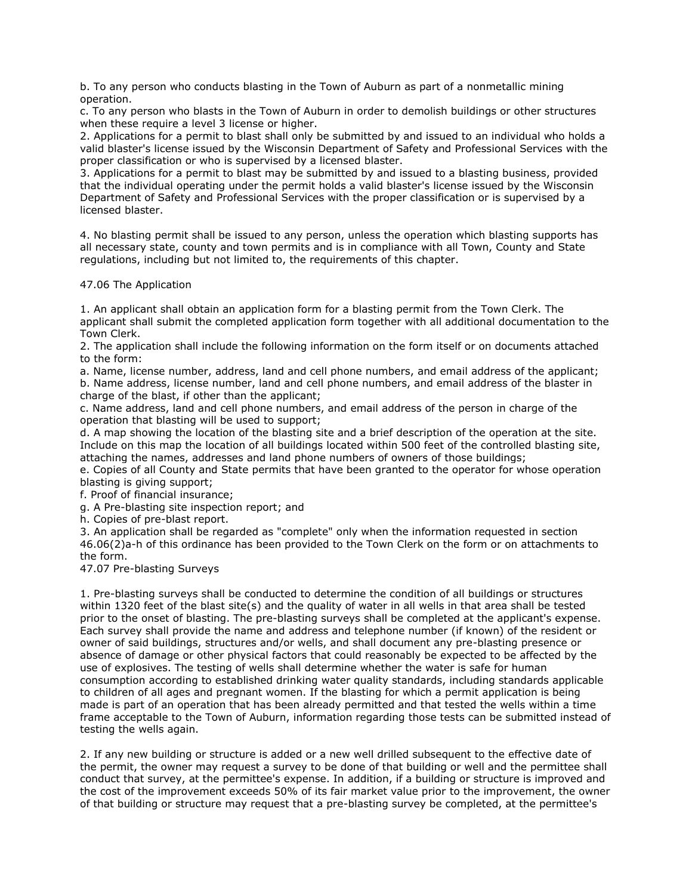b. To any person who conducts blasting in the Town of Auburn as part of a nonmetallic mining operation.

c. To any person who blasts in the Town of Auburn in order to demolish buildings or other structures when these require a level 3 license or higher.

2. Applications for a permit to blast shall only be submitted by and issued to an individual who holds a valid blaster's license issued by the Wisconsin Department of Safety and Professional Services with the proper classification or who is supervised by a licensed blaster.

3. Applications for a permit to blast may be submitted by and issued to a blasting business, provided that the individual operating under the permit holds a valid blaster's license issued by the Wisconsin Department of Safety and Professional Services with the proper classification or is supervised by a licensed blaster.

4. No blasting permit shall be issued to any person, unless the operation which blasting supports has all necessary state, county and town permits and is in compliance with all Town, County and State regulations, including but not limited to, the requirements of this chapter.

47.06 The Application

1. An applicant shall obtain an application form for a blasting permit from the Town Clerk. The applicant shall submit the completed application form together with all additional documentation to the Town Clerk.

2. The application shall include the following information on the form itself or on documents attached to the form:

a. Name, license number, address, land and cell phone numbers, and email address of the applicant; b. Name address, license number, land and cell phone numbers, and email address of the blaster in charge of the blast, if other than the applicant;

c. Name address, land and cell phone numbers, and email address of the person in charge of the operation that blasting will be used to support;

d. A map showing the location of the blasting site and a brief description of the operation at the site. Include on this map the location of all buildings located within 500 feet of the controlled blasting site, attaching the names, addresses and land phone numbers of owners of those buildings;

e. Copies of all County and State permits that have been granted to the operator for whose operation blasting is giving support;

f. Proof of financial insurance;

g. A Pre-blasting site inspection report; and

h. Copies of pre-blast report.

3. An application shall be regarded as "complete" only when the information requested in section 46.06(2)a-h of this ordinance has been provided to the Town Clerk on the form or on attachments to the form.

47.07 Pre-blasting Surveys

1. Pre-blasting surveys shall be conducted to determine the condition of all buildings or structures within 1320 feet of the blast site(s) and the quality of water in all wells in that area shall be tested prior to the onset of blasting. The pre-blasting surveys shall be completed at the applicant's expense. Each survey shall provide the name and address and telephone number (if known) of the resident or owner of said buildings, structures and/or wells, and shall document any pre-blasting presence or absence of damage or other physical factors that could reasonably be expected to be affected by the use of explosives. The testing of wells shall determine whether the water is safe for human consumption according to established drinking water quality standards, including standards applicable to children of all ages and pregnant women. If the blasting for which a permit application is being made is part of an operation that has been already permitted and that tested the wells within a time frame acceptable to the Town of Auburn, information regarding those tests can be submitted instead of testing the wells again.

2. If any new building or structure is added or a new well drilled subsequent to the effective date of the permit, the owner may request a survey to be done of that building or well and the permittee shall conduct that survey, at the permittee's expense. In addition, if a building or structure is improved and the cost of the improvement exceeds 50% of its fair market value prior to the improvement, the owner of that building or structure may request that a pre-blasting survey be completed, at the permittee's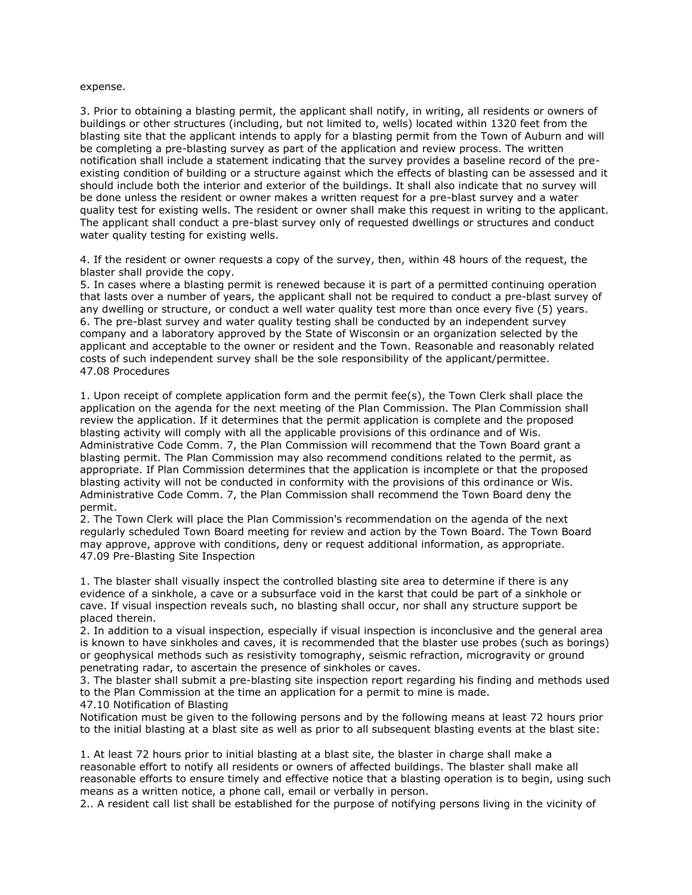#### expense.

3. Prior to obtaining a blasting permit, the applicant shall notify, in writing, all residents or owners of buildings or other structures (including, but not limited to, wells) located within 1320 feet from the blasting site that the applicant intends to apply for a blasting permit from the Town of Auburn and will be completing a pre-blasting survey as part of the application and review process. The written notification shall include a statement indicating that the survey provides a baseline record of the preexisting condition of building or a structure against which the effects of blasting can be assessed and it should include both the interior and exterior of the buildings. It shall also indicate that no survey will be done unless the resident or owner makes a written request for a pre-blast survey and a water quality test for existing wells. The resident or owner shall make this request in writing to the applicant. The applicant shall conduct a pre-blast survey only of requested dwellings or structures and conduct water quality testing for existing wells.

4. If the resident or owner requests a copy of the survey, then, within 48 hours of the request, the blaster shall provide the copy.

5. In cases where a blasting permit is renewed because it is part of a permitted continuing operation that lasts over a number of years, the applicant shall not be required to conduct a pre-blast survey of any dwelling or structure, or conduct a well water quality test more than once every five (5) years. 6. The pre-blast survey and water quality testing shall be conducted by an independent survey company and a laboratory approved by the State of Wisconsin or an organization selected by the applicant and acceptable to the owner or resident and the Town. Reasonable and reasonably related costs of such independent survey shall be the sole responsibility of the applicant/permittee. 47.08 Procedures

1. Upon receipt of complete application form and the permit fee(s), the Town Clerk shall place the application on the agenda for the next meeting of the Plan Commission. The Plan Commission shall review the application. If it determines that the permit application is complete and the proposed blasting activity will comply with all the applicable provisions of this ordinance and of Wis. Administrative Code Comm. 7, the Plan Commission will recommend that the Town Board grant a blasting permit. The Plan Commission may also recommend conditions related to the permit, as appropriate. If Plan Commission determines that the application is incomplete or that the proposed blasting activity will not be conducted in conformity with the provisions of this ordinance or Wis. Administrative Code Comm. 7, the Plan Commission shall recommend the Town Board deny the permit.

2. The Town Clerk will place the Plan Commission's recommendation on the agenda of the next regularly scheduled Town Board meeting for review and action by the Town Board. The Town Board may approve, approve with conditions, deny or request additional information, as appropriate. 47.09 Pre-Blasting Site Inspection

1. The blaster shall visually inspect the controlled blasting site area to determine if there is any evidence of a sinkhole, a cave or a subsurface void in the karst that could be part of a sinkhole or cave. If visual inspection reveals such, no blasting shall occur, nor shall any structure support be placed therein.

2. In addition to a visual inspection, especially if visual inspection is inconclusive and the general area is known to have sinkholes and caves, it is recommended that the blaster use probes (such as borings) or geophysical methods such as resistivity tomography, seismic refraction, microgravity or ground penetrating radar, to ascertain the presence of sinkholes or caves.

3. The blaster shall submit a pre-blasting site inspection report regarding his finding and methods used to the Plan Commission at the time an application for a permit to mine is made.

47.10 Notification of Blasting

Notification must be given to the following persons and by the following means at least 72 hours prior to the initial blasting at a blast site as well as prior to all subsequent blasting events at the blast site:

1. At least 72 hours prior to initial blasting at a blast site, the blaster in charge shall make a reasonable effort to notify all residents or owners of affected buildings. The blaster shall make all reasonable efforts to ensure timely and effective notice that a blasting operation is to begin, using such means as a written notice, a phone call, email or verbally in person.

2.. A resident call list shall be established for the purpose of notifying persons living in the vicinity of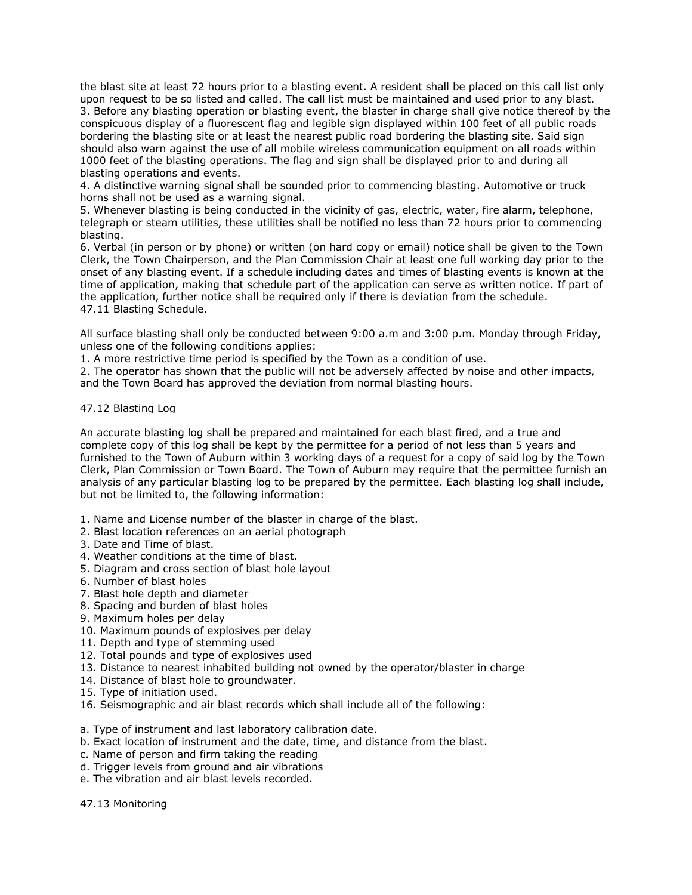the blast site at least 72 hours prior to a blasting event. A resident shall be placed on this call list only upon request to be so listed and called. The call list must be maintained and used prior to any blast. 3. Before any blasting operation or blasting event, the blaster in charge shall give notice thereof by the conspicuous display of a fluorescent flag and legible sign displayed within 100 feet of all public roads bordering the blasting site or at least the nearest public road bordering the blasting site. Said sign should also warn against the use of all mobile wireless communication equipment on all roads within 1000 feet of the blasting operations. The flag and sign shall be displayed prior to and during all blasting operations and events.

4. A distinctive warning signal shall be sounded prior to commencing blasting. Automotive or truck horns shall not be used as a warning signal.

5. Whenever blasting is being conducted in the vicinity of gas, electric, water, fire alarm, telephone, telegraph or steam utilities, these utilities shall be notified no less than 72 hours prior to commencing blasting.

6. Verbal (in person or by phone) or written (on hard copy or email) notice shall be given to the Town Clerk, the Town Chairperson, and the Plan Commission Chair at least one full working day prior to the onset of any blasting event. If a schedule including dates and times of blasting events is known at the time of application, making that schedule part of the application can serve as written notice. If part of the application, further notice shall be required only if there is deviation from the schedule. 47.11 Blasting Schedule.

All surface blasting shall only be conducted between 9:00 a.m and 3:00 p.m. Monday through Friday, unless one of the following conditions applies:

1. A more restrictive time period is specified by the Town as a condition of use.

2. The operator has shown that the public will not be adversely affected by noise and other impacts, and the Town Board has approved the deviation from normal blasting hours.

## 47.12 Blasting Log

An accurate blasting log shall be prepared and maintained for each blast fired, and a true and complete copy of this log shall be kept by the permittee for a period of not less than 5 years and furnished to the Town of Auburn within 3 working days of a request for a copy of said log by the Town Clerk, Plan Commission or Town Board. The Town of Auburn may require that the permittee furnish an analysis of any particular blasting log to be prepared by the permittee. Each blasting log shall include, but not be limited to, the following information:

- 1. Name and License number of the blaster in charge of the blast.
- 2. Blast location references on an aerial photograph
- 3. Date and Time of blast.
- 4. Weather conditions at the time of blast.
- 5. Diagram and cross section of blast hole layout
- 6. Number of blast holes
- 7. Blast hole depth and diameter
- 8. Spacing and burden of blast holes
- 9. Maximum holes per delay
- 10. Maximum pounds of explosives per delay
- 11. Depth and type of stemming used
- 12. Total pounds and type of explosives used
- 13. Distance to nearest inhabited building not owned by the operator/blaster in charge
- 14. Distance of blast hole to groundwater.
- 15. Type of initiation used.
- 16. Seismographic and air blast records which shall include all of the following:
- a. Type of instrument and last laboratory calibration date.
- b. Exact location of instrument and the date, time, and distance from the blast.
- c. Name of person and firm taking the reading
- d. Trigger levels from ground and air vibrations
- e. The vibration and air blast levels recorded.

47.13 Monitoring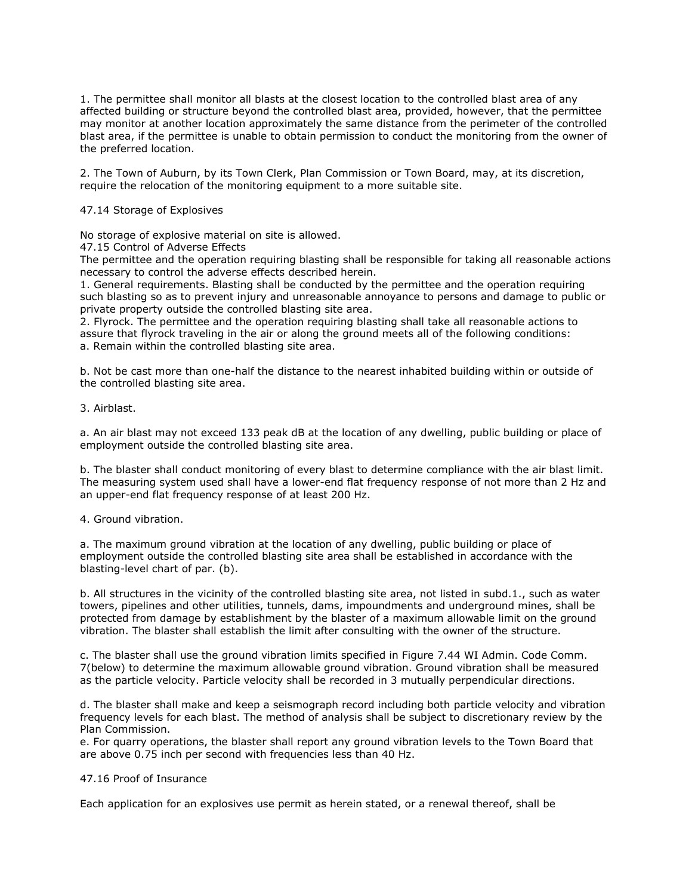1. The permittee shall monitor all blasts at the closest location to the controlled blast area of any affected building or structure beyond the controlled blast area, provided, however, that the permittee may monitor at another location approximately the same distance from the perimeter of the controlled blast area, if the permittee is unable to obtain permission to conduct the monitoring from the owner of the preferred location.

2. The Town of Auburn, by its Town Clerk, Plan Commission or Town Board, may, at its discretion, require the relocation of the monitoring equipment to a more suitable site.

### 47.14 Storage of Explosives

No storage of explosive material on site is allowed.

47.15 Control of Adverse Effects

The permittee and the operation requiring blasting shall be responsible for taking all reasonable actions necessary to control the adverse effects described herein.

1. General requirements. Blasting shall be conducted by the permittee and the operation requiring such blasting so as to prevent injury and unreasonable annoyance to persons and damage to public or private property outside the controlled blasting site area.

2. Flyrock. The permittee and the operation requiring blasting shall take all reasonable actions to assure that flyrock traveling in the air or along the ground meets all of the following conditions: a. Remain within the controlled blasting site area.

b. Not be cast more than one-half the distance to the nearest inhabited building within or outside of the controlled blasting site area.

3. Airblast.

a. An air blast may not exceed 133 peak dB at the location of any dwelling, public building or place of employment outside the controlled blasting site area.

b. The blaster shall conduct monitoring of every blast to determine compliance with the air blast limit. The measuring system used shall have a lower-end flat frequency response of not more than 2 Hz and an upper-end flat frequency response of at least 200 Hz.

### 4. Ground vibration.

a. The maximum ground vibration at the location of any dwelling, public building or place of employment outside the controlled blasting site area shall be established in accordance with the blasting-level chart of par. (b).

b. All structures in the vicinity of the controlled blasting site area, not listed in subd.1., such as water towers, pipelines and other utilities, tunnels, dams, impoundments and underground mines, shall be protected from damage by establishment by the blaster of a maximum allowable limit on the ground vibration. The blaster shall establish the limit after consulting with the owner of the structure.

c. The blaster shall use the ground vibration limits specified in Figure 7.44 WI Admin. Code Comm. 7(below) to determine the maximum allowable ground vibration. Ground vibration shall be measured as the particle velocity. Particle velocity shall be recorded in 3 mutually perpendicular directions.

d. The blaster shall make and keep a seismograph record including both particle velocity and vibration frequency levels for each blast. The method of analysis shall be subject to discretionary review by the Plan Commission.

e. For quarry operations, the blaster shall report any ground vibration levels to the Town Board that are above 0.75 inch per second with frequencies less than 40 Hz.

#### 47.16 Proof of Insurance

Each application for an explosives use permit as herein stated, or a renewal thereof, shall be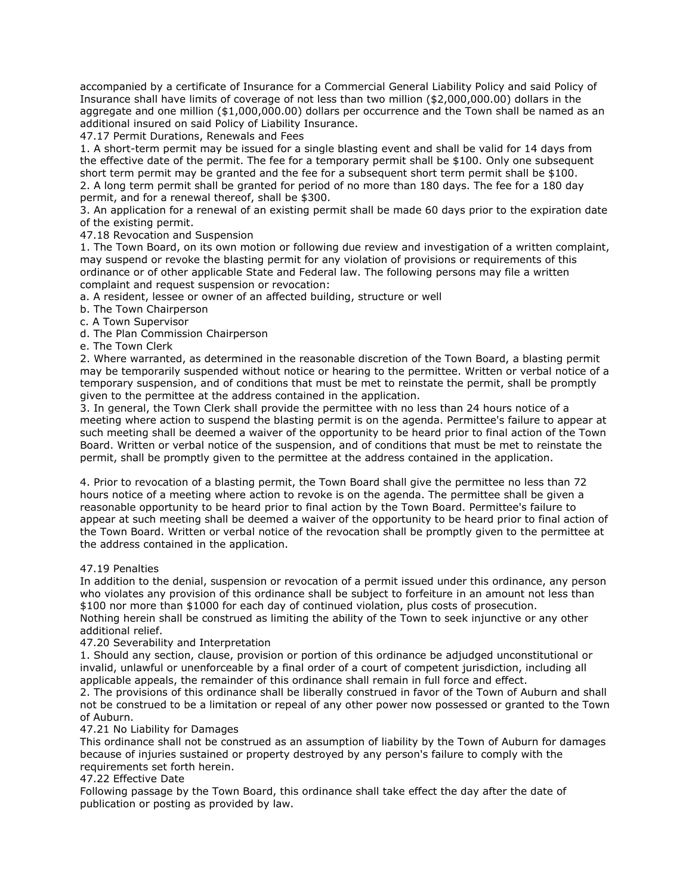accompanied by a certificate of Insurance for a Commercial General Liability Policy and said Policy of Insurance shall have limits of coverage of not less than two million (\$2,000,000.00) dollars in the aggregate and one million (\$1,000,000.00) dollars per occurrence and the Town shall be named as an additional insured on said Policy of Liability Insurance.

47.17 Permit Durations, Renewals and Fees

1. A short-term permit may be issued for a single blasting event and shall be valid for 14 days from the effective date of the permit. The fee for a temporary permit shall be \$100. Only one subsequent short term permit may be granted and the fee for a subsequent short term permit shall be \$100. 2. A long term permit shall be granted for period of no more than 180 days. The fee for a 180 day permit, and for a renewal thereof, shall be \$300.

3. An application for a renewal of an existing permit shall be made 60 days prior to the expiration date of the existing permit.

## 47.18 Revocation and Suspension

1. The Town Board, on its own motion or following due review and investigation of a written complaint, may suspend or revoke the blasting permit for any violation of provisions or requirements of this ordinance or of other applicable State and Federal law. The following persons may file a written complaint and request suspension or revocation:

a. A resident, lessee or owner of an affected building, structure or well

- b. The Town Chairperson
- c. A Town Supervisor
- d. The Plan Commission Chairperson
- e. The Town Clerk

2. Where warranted, as determined in the reasonable discretion of the Town Board, a blasting permit may be temporarily suspended without notice or hearing to the permittee. Written or verbal notice of a temporary suspension, and of conditions that must be met to reinstate the permit, shall be promptly given to the permittee at the address contained in the application.

3. In general, the Town Clerk shall provide the permittee with no less than 24 hours notice of a meeting where action to suspend the blasting permit is on the agenda. Permittee's failure to appear at such meeting shall be deemed a waiver of the opportunity to be heard prior to final action of the Town Board. Written or verbal notice of the suspension, and of conditions that must be met to reinstate the permit, shall be promptly given to the permittee at the address contained in the application.

4. Prior to revocation of a blasting permit, the Town Board shall give the permittee no less than 72 hours notice of a meeting where action to revoke is on the agenda. The permittee shall be given a reasonable opportunity to be heard prior to final action by the Town Board. Permittee's failure to appear at such meeting shall be deemed a waiver of the opportunity to be heard prior to final action of the Town Board. Written or verbal notice of the revocation shall be promptly given to the permittee at the address contained in the application.

### 47.19 Penalties

In addition to the denial, suspension or revocation of a permit issued under this ordinance, any person who violates any provision of this ordinance shall be subject to forfeiture in an amount not less than \$100 nor more than \$1000 for each day of continued violation, plus costs of prosecution.

Nothing herein shall be construed as limiting the ability of the Town to seek injunctive or any other additional relief.

# 47.20 Severability and Interpretation

1. Should any section, clause, provision or portion of this ordinance be adjudged unconstitutional or invalid, unlawful or unenforceable by a final order of a court of competent jurisdiction, including all applicable appeals, the remainder of this ordinance shall remain in full force and effect.

2. The provisions of this ordinance shall be liberally construed in favor of the Town of Auburn and shall not be construed to be a limitation or repeal of any other power now possessed or granted to the Town of Auburn.

# 47.21 No Liability for Damages

This ordinance shall not be construed as an assumption of liability by the Town of Auburn for damages because of injuries sustained or property destroyed by any person's failure to comply with the requirements set forth herein.

# 47.22 Effective Date

Following passage by the Town Board, this ordinance shall take effect the day after the date of publication or posting as provided by law.